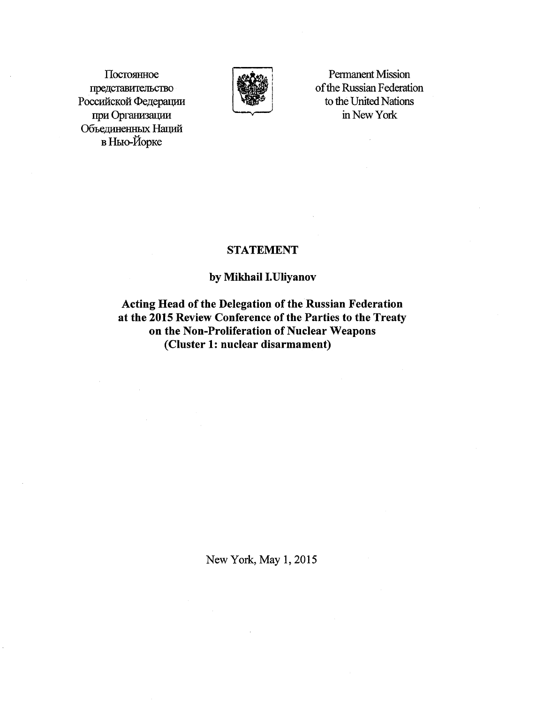Постоянное представительство Российской Федерации при Организации Объединенных Наций в Нью-Йорке



**Permanent Mission** of the Russian Federation to the United Nations in New York

 $\bar{\lambda}$ 

## **STATEMENT**

## by Mikhail I. Uliyanov

Acting Head of the Delegation of the Russian Federation at the 2015 Review Conference of the Parties to the Treaty on the Non-Proliferation of Nuclear Weapons (Cluster 1: nuclear disarmament)

New York, May 1, 2015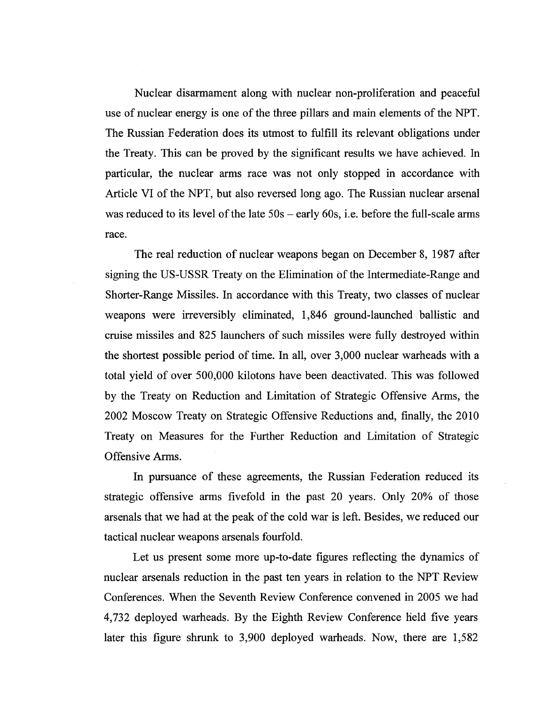Nuclear disarmament along with nuclear non-proliferation and peaceful use of nuclear energy is one of the three pillars and main elements of the NPT. The Russian Federation does its utmost to fulfill its relevant obligations under the Treaty. This can be proved by the significant results we have achieved. In particular, the nuclear arms race was not only stopped in accordance with Article VI of the NPT, but also reversed long ago. The Russian nuclear arsenal was reduced to its level of the late  $50s - \text{early } 60s$ , i.e. before the full-scale arms race.

The real reduction of nuclear weapons began on December 8, 1987 after signing the US-USSR Treaty on the Elimination of the Intermediate-Range and Shorter-Range Missiles. In accordance with this Treaty, two classes of nuclear weapons were irreversibly eliminated, 1,846 ground-launched ballistic and cruise missiles and 825 launchers of such missiles were fully destroyed within the shortest possible period of time. In all, over 3,000 nuclear warheads with a total yield of over 500,000 kilotons have been deactivated. This was followed by the Treaty on Reduction and Limitation of Strategic Offensive Arms, the 2002 Moscow Treaty on Strategic Offensive Reductions and, finally, the 2010 Treaty on Measures for the Further Reduction and Limitation of Strategic Offensive Arms.

In pursuance of these agreements, the Russian Federation reduced its strategic offensive arms fivefold in the past 20 years. Only 20% of those arsenals that we had at the peak of the cold war is left. Besides, we reduced our tactical nuclear weapons arsenals fourfold.

Let us present some more up-to-date figures reflecting the dynamics of nuclear arsenals reduction in the past ten years in relation to the NPT Review Conferences. When the Seventh Review Conference convened in 2005 we had 4,732 deployed warheads. By the Eighth Review Conference held five years later this figure shrunk to 3,900 deployed warheads. Now, there are 1,582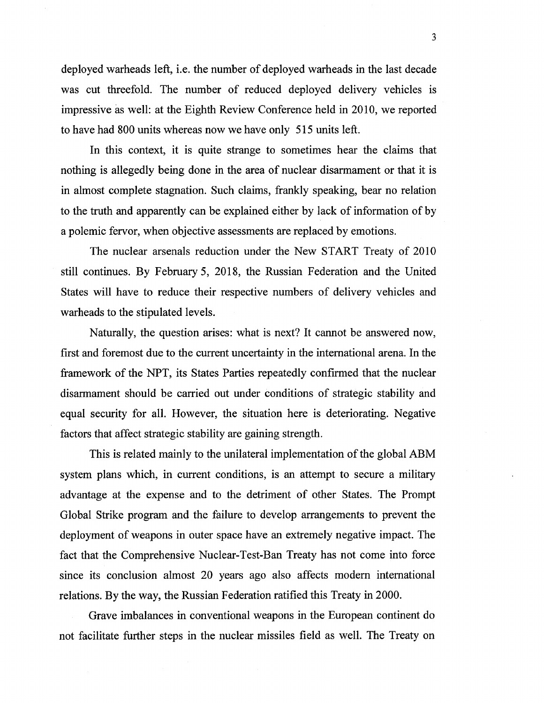deployed warheads left, i.e. the number of deployed warheads in the last decade was cut threefold. The number of reduced deployed delivery vehicles is impressive as well: at the Eighth Review Conference held in 2010, we reported to have had 800 units whereas now we have only 515 units left.

In this context, it is quite strange to sometimes hear the claims that nothing is allegedly being done in the area of nuclear disarmament or that it is in almost complete stagnation. Such claims, frankly speaking, bear no relation to the truth and apparently can be explained either by lack of information of by a polemic fervor, when objective assessments are replaced by emotions.

The nuclear arsenals reduction under the New START Treaty of 2010 still continues. By February 5, 2018, the Russian Federation and the United States will have to reduce their respective numbers of delivery vehicles and warheads to the stipulated levels.

Naturally, the question arises: what is next? It cannot be answered now, first and foremost due to the current uncertainty in the international arena. In the framework of the NPT, its States Parties repeatedly confirmed that the nuclear disarmament should be carried out under conditions of strategic stability and equal security for all. However, the situation here is deteriorating. Negative factors that affect strategic stability are gaining strength.

This is related mainly to the unilateral implementation of the global ABM system plans which, in current conditions, is an attempt to secure a military advantage at the expense and to the detriment of other States. The Prompt Global Strike program and the failure to develop arrangements to prevent the deployment of weapons in outer space have an extremely negative impact. The fact that the Comprehensive Nuclear-Test-Ban Treaty has not come into force since its conclusion almost 20 years ago also affects modem international relations. By the way, the Russian Federation ratified this Treaty in 2000.

Grave imbalances in conventional weapons in the European continent do not facilitate further steps in the nuclear missiles field as well. The Treaty on

3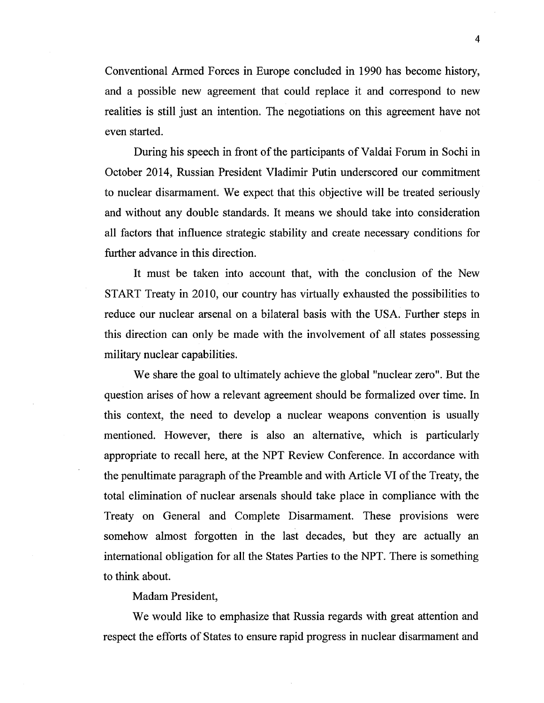Conventional Armed Forces in Europe concluded in 1990 has become history, and a possible new agreement that could replace it and correspond to new realities is still just an intention. The negotiations on this agreement have not even started.

During his speech in front of the participants of Valdai Forum in Sochi in October 2014, Russian President Vladimir Putin underscored our commitment to nuclear disarmament. We expect that this objective will be treated seriously and without any double standards. It means we should take into consideration all factors that influence strategic stability and create necessary conditions for further advance in this direction.

It must be taken into account that, with the conclusion of the New START Treaty in 2010, our country has virtually exhausted the possibilities to reduce our nuclear arsenal on a bilateral basis with the USA. Further steps in this direction can only be made with the involvement of all states possessing military nuclear capabilities.

We share the goal to ultimately achieve the global "nuclear zero". But the question arises of how a relevant agreement should be formalized over time. In this context, the need to develop a nuclear weapons convention is usually mentioned. However, there is also an alternative, which is particularly appropriate to recall here, at the NPT Review Conference. In accordance with the penultimate paragraph of the Preamble and with Article VI of the Treaty, the total elimination of nuclear arsenals should take place in compliance with the Treaty on General and Complete Disarmament. These provisions were somehow almost forgotten in the last decades, but they are actually an international obligation for all the States Parties to the NPT. There is something to think about.

Madam President,

We would like to emphasize that Russia regards with great attention and respect the efforts of States to ensure rapid progress in nuclear disarmament and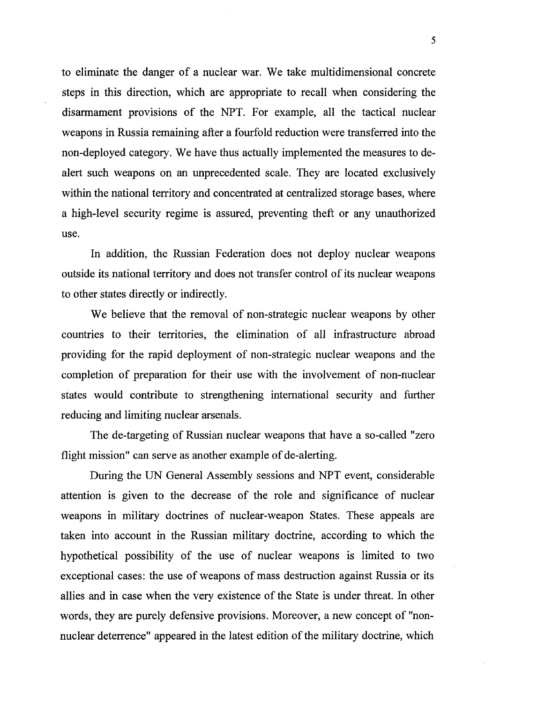to eliminate the danger of a nuclear war. We take multidimensional concrete steps in this direction, which are appropriate to recall when considering the disarmament provisions of the NPT. For example, all the tactical nuclear weapons in Russia remaining after a fourfold reduction were transferred into the non-deployed category. We have thus actually implemented the measures to dealert such weapons on an unprecedented scale. They are located exclusively within the national territory and concentrated at centralized storage bases, where a high-level security regime is assured, preventing theft or any unauthorized use.

In addition, the Russian Federation does not deploy nuclear weapons outside its national territory and does not transfer control of its nuclear weapons to other states directly or indirectly.

We believe that the removal of non-strategic nuclear weapons by other countries to their territories, the elimination of all infrastructure abroad providing for the rapid deployment of non-strategic nuclear weapons and the completion of preparation for their use with the involvement of non-nuclear states would contribute to strengthening international security and further reducing and limiting nuclear arsenals.

The de-targeting of Russian nuclear weapons that have a so-called "zero flight mission" can serve as another example of de-alerting.

During the UN General Assembly sessions and NPT event, considerable attention 1s given to the decrease of the role and significance of nuclear weapons in military doctrines of nuclear-weapon States. These appeals are taken into account in the Russian military doctrine, according to which the hypothetical possibility of the use of nuclear weapons is limited to two exceptional cases: the use of weapons of mass destruction against Russia or its allies and in case when the very existence of the State is under threat. In other words, they are purely defensive provisions. Moreover, a new concept of "nonnuclear deterrence" appeared in the latest edition of the military doctrine, which